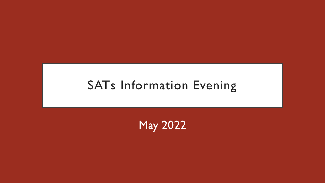### SATs Information Evening

May 2022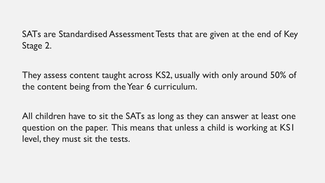SATs are Standardised Assessment Tests that are given at the end of Key Stage 2.

They assess content taught across KS2, usually with only around 50% of the content being from the Year 6 curriculum.

All children have to sit the SATs as long as they can answer at least one question on the paper. This means that unless a child is working at KS1 level, they must sit the tests.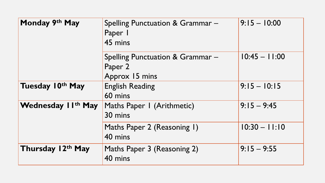| Monday 9th May                 | Spelling Punctuation & Grammar -<br>Paper I<br>45 mins        | $9:15 - 10:00$  |
|--------------------------------|---------------------------------------------------------------|-----------------|
|                                | Spelling Punctuation & Grammar -<br>Paper 2<br>Approx 15 mins | $10:45 - 11:00$ |
| Tuesday 10 <sup>th</sup> May   | <b>English Reading</b><br>60 mins                             | $9:15 - 10:15$  |
| Wednesday II <sup>th</sup> May | Maths Paper I (Arithmetic)<br>30 mins                         | $9:15 - 9:45$   |
|                                | Maths Paper 2 (Reasoning 1)<br>40 mins                        | $10:30 - 11:10$ |
| Thursday 12th May              | Maths Paper 3 (Reasoning 2)<br>40 mins                        | $9:15 - 9:55$   |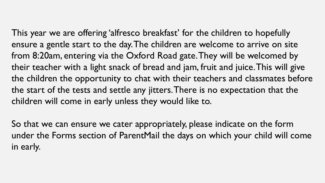This year we are offering 'alfresco breakfast' for the children to hopefully ensure a gentle start to the day. The children are welcome to arrive on site from 8:20am, entering via the Oxford Road gate. They will be welcomed by their teacher with a light snack of bread and jam, fruit and juice. This will give the children the opportunity to chat with their teachers and classmates before the start of the tests and settle any jitters. There is no expectation that the children will come in early unless they would like to.

So that we can ensure we cater appropriately, please indicate on the form under the Forms section of ParentMail the days on which your child will come in early.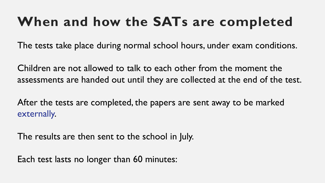# **When and how the SATs are completed**

The tests take place during normal school hours, under exam conditions.

Children are not allowed to talk to each other from the moment the assessments are handed out until they are collected at the end of the test.

After the tests are completed, the papers are sent away to be marked externally.

The results are then sent to the school in July.

Each test lasts no longer than 60 minutes: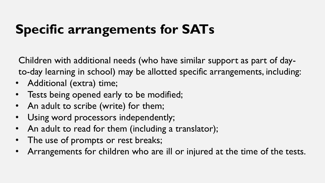# **Specific arrangements for SATs**

Children with additional needs (who have similar support as part of dayto-day learning in school) may be allotted specific arrangements, including:

- Additional (extra) time;
- Tests being opened early to be modified;
- An adult to scribe (write) for them;
- Using word processors independently;
- An adult to read for them (including a translator);
- The use of prompts or rest breaks;
- Arrangements for children who are ill or injured at the time of the tests.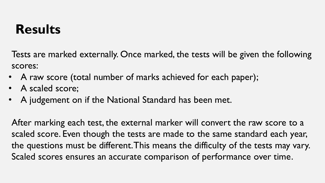### **Results**

Tests are marked externally. Once marked, the tests will be given the following scores:

- A raw score (total number of marks achieved for each paper);
- A scaled score;
- A judgement on if the National Standard has been met.

After marking each test, the external marker will convert the raw score to a scaled score. Even though the tests are made to the same standard each year, the questions must be different. This means the difficulty of the tests may vary. Scaled scores ensures an accurate comparison of performance over time.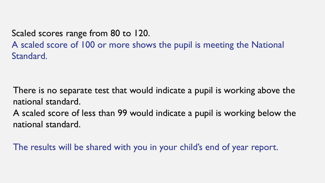Scaled scores range from 80 to 120.

A scaled score of 100 or more shows the pupil is meeting the National Standard.

There is no separate test that would indicate a pupil is working above the national standard.

A scaled score of less than 99 would indicate a pupil is working below the national standard.

The results will be shared with you in your child's end of year report.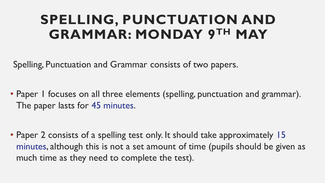### **SPELLING, PUNCTUATION AND GRAMMAR: MONDAY 9TH MAY**

Spelling, Punctuation and Grammar consists of two papers.

• Paper I focuses on all three elements (spelling, punctuation and grammar). The paper lasts for 45 minutes.

• Paper 2 consists of a spelling test only. It should take approximately 15 minutes, although this is not a set amount of time (pupils should be given as much time as they need to complete the test).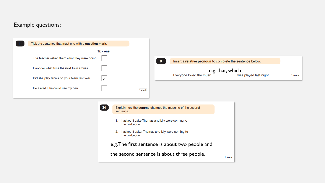#### Example questions:

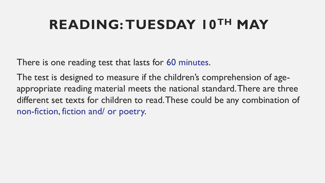# **READING: TUESDAY 10TH MAY**

There is one reading test that lasts for 60 minutes.

The test is designed to measure if the children's comprehension of ageappropriate reading material meets the national standard. There are three different set texts for children to read. These could be any combination of non-fiction, fiction and/ or poetry.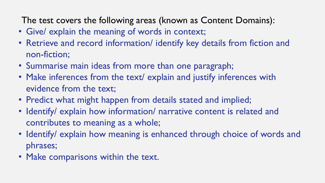The test covers the following areas (known as Content Domains):

- Give/ explain the meaning of words in context;
- Retrieve and record information/ identify key details from fiction and non-fiction;
- Summarise main ideas from more than one paragraph;
- Make inferences from the text/ explain and justify inferences with evidence from the text;
- Predict what might happen from details stated and implied;
- Identify/ explain how information/ narrative content is related and contributes to meaning as a whole;
- Identify/ explain how meaning is enhanced through choice of words and phrases;
- Make comparisons within the text.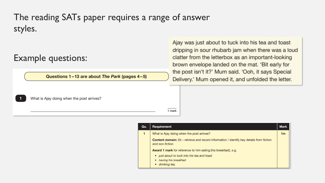### The reading SATs paper requires a range of answer styles.

### Example questions:

Questions 1-13 are about The Park (pages 4-5)

What is Ajay doing when the post arrives?

clatter from the letterbox as an important-looking brown envelope landed on the mat. 'Bit early for the post isn't it?' Mum said. 'Ooh, it says Special Delivery.' Mum opened it, and unfolded the letter.

Ajay was just about to tuck into his tea and toast

dripping in sour rhubarb jam when there was a loud

| 1 mark |
|--------|
|        |

| Qu. | Requirement                                                                                                        | <b>Mark</b>    |
|-----|--------------------------------------------------------------------------------------------------------------------|----------------|
| 1   | What is Ajay doing when the post arrives?                                                                          | 1 <sub>m</sub> |
|     | <b>Content domain:</b> 2b – retrieve and record information / identify key details from fiction<br>and non-fiction |                |
|     | <b>Award 1 mark</b> for reference to him eating (his breakfast), e.g.                                              |                |
|     | • just about to tuck into his tea and toast<br>• having his breakfast<br>drinking tea.<br>٠                        |                |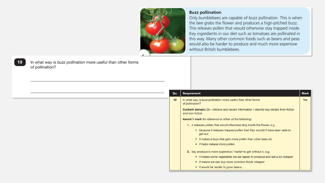

#### **Buzz pollination**

Only bumblebees are capable of buzz pollination. This is when the bee grabs the flower and produces a high-pitched buzz. This releases pollen that would otherwise stay trapped inside. Key ingredients in our diet such as tomatoes are pollinated in this way. Many other common foods such as beans and peas would also be harder to produce and much more expensive without British bumblebees.

In what way is buzz pollination more useful than other forms of pollination?

19

| Qu. | Requirement                                                                                                        | <b>Mark</b> |  |  |
|-----|--------------------------------------------------------------------------------------------------------------------|-------------|--|--|
| 19  | In what way is buzz pollination more useful than other forms<br>of pollination?                                    |             |  |  |
|     | <b>Content domain:</b> 2b – retrieve and record information / identify key details from fiction<br>and non-fiction |             |  |  |
|     | <b>Award 1 mark for reference to either of the following:</b>                                                      |             |  |  |
|     | 1. it releases pollen that would otherwise stay inside the flower, e.g.                                            |             |  |  |
|     | • because it releases trapped pollen that they wouldn't have been able to<br>get out                               |             |  |  |
|     | • it makes a buzz that gets more pollen than other bees do                                                         |             |  |  |
|     | • it helps release more pollen.                                                                                    |             |  |  |
|     | 2. key produce is more expensive / harder to get without it, e.g.                                                  |             |  |  |
|     | • it makes some vegetables we eat easier to produce and sell a lot cheaper                                         |             |  |  |
|     | • it means we can buy more common foods cheaper                                                                    |             |  |  |
|     | • it would be harder to grow beans.                                                                                |             |  |  |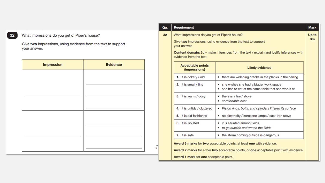#### What impressions do you get of Piper's house?

 $\begin{bmatrix} 32 \end{bmatrix}$ 

Give two impressions, using evidence from the text to support your answer.

| <b>Impression</b> | <b>Evidence</b> |
|-------------------|-----------------|
|                   |                 |
|                   |                 |
|                   |                 |
|                   |                 |
|                   |                 |
|                   |                 |
|                   |                 |
|                   |                 |

 $\mathbf{3}$ 

| Qu. | Requirement<br><b>Mark</b>                                                          |                                                                                                                                                                |  |
|-----|-------------------------------------------------------------------------------------|----------------------------------------------------------------------------------------------------------------------------------------------------------------|--|
| 32  | What impressions do you get of Piper's house?<br>Up to                              |                                                                                                                                                                |  |
|     | 3m<br>Give two impressions, using evidence from the text to support<br>your answer. |                                                                                                                                                                |  |
|     | evidence from the text                                                              | <b>Content domain:</b> 2d – make inferences from the text / explain and justify inferences with                                                                |  |
|     | <b>Acceptable points</b><br>(impressions)                                           | <b>Likely evidence</b>                                                                                                                                         |  |
|     | 1. it is rickety / old                                                              | • there are widening cracks in the planks in the ceiling                                                                                                       |  |
|     | 2. it is small / tiny                                                               | • she wishes she had a bigger work space<br>she has to eat at the same table that she works at                                                                 |  |
|     | 3. it is warm / cosy                                                                | • there is a fire / stove<br>• comfortable nest                                                                                                                |  |
|     | 4. it is untidy / cluttered                                                         | • Piston rings, bolts, and cylinders littered its surface                                                                                                      |  |
|     | 5. it is old fashioned                                                              | • no electricity / kerosene lamps / cast-iron stove                                                                                                            |  |
|     | 6. it is isolated                                                                   | • it is situated among fields<br>• to go outside and watch the fields                                                                                          |  |
|     | 7. it is safe                                                                       | • the storm coming outside is dangerous                                                                                                                        |  |
|     | <b>Award 1 mark for one acceptable point.</b>                                       | Award 3 marks for two acceptable points, at least one with evidence.<br>Award 2 marks for either two acceptable points, or one acceptable point with evidence. |  |
|     |                                                                                     |                                                                                                                                                                |  |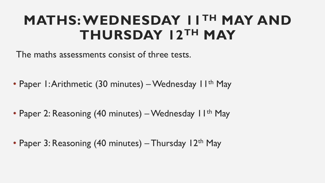### **MATHS: WEDNESDAY 11TH MAY AND THURSDAY 12TH MAY**

The maths assessments consist of three tests.

• Paper 1: Arithmetic (30 minutes) – Wednesday 11<sup>th</sup> May

• Paper 2: Reasoning (40 minutes) – Wednesday II<sup>th</sup> May

• Paper 3: Reasoning (40 minutes) – Thursday 12<sup>th</sup> May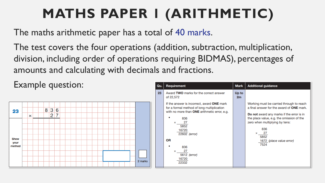# **MATHS PAPER 1 (ARITHMETIC)**

The maths arithmetic paper has a total of 40 marks.

The test covers the four operations (addition, subtraction, multiplication, division, including order of operations requiring BIDMAS), percentages of amounts and calculating with decimals and fractions.

Example question:



| Requirement                                                                                                                              | <b>Mark</b>   | <b>Additional guidance</b>                                                                                                                |
|------------------------------------------------------------------------------------------------------------------------------------------|---------------|-------------------------------------------------------------------------------------------------------------------------------------------|
| Award TWO marks for the correct answer<br>of 22,572                                                                                      | Up to<br>2m   |                                                                                                                                           |
| If the answer is incorrect, award ONE mark<br>for a formal method of long multiplication<br>with no more than ONE arithmetic error, e.g. |               | Working must be carried through to reach<br>a final answer for the award of <b>ONE</b> mark.<br>Do not award any marks if the error is in |
| 836<br>27<br>×<br>5852<br>16720                                                                                                          |               | the place value, e.g. the omission of the<br>zero when multiplying by tens:<br>836<br>27<br>×                                             |
| <b>OR</b><br>836                                                                                                                         |               | 5852<br>1672 (place value error)<br>7524                                                                                                  |
| 27<br>×<br>5612 (error)<br>16720<br>22332                                                                                                |               |                                                                                                                                           |
|                                                                                                                                          | 22602 (error) |                                                                                                                                           |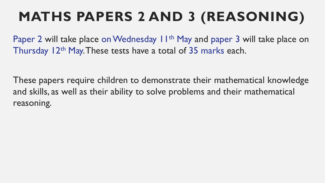# **MATHS PAPERS 2 AND 3 (REASONING)**

Paper 2 will take place on Wednesday 11<sup>th</sup> May and paper 3 will take place on Thursday 12<sup>th</sup> May. These tests have a total of 35 marks each.

These papers require children to demonstrate their mathematical knowledge and skills, as well as their ability to solve problems and their mathematical reasoning.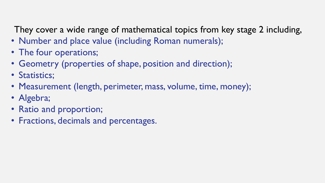They cover a wide range of mathematical topics from key stage 2 including,

- Number and place value (including Roman numerals);
- The four operations;
- Geometry (properties of shape, position and direction);
- Statistics;
- Measurement (length, perimeter, mass, volume, time, money);
- Algebra;
- Ratio and proportion;
- Fractions, decimals and percentages.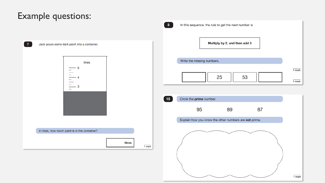### Example questions:

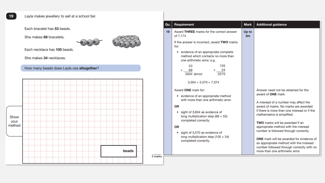#### Layla makes jewellery to sell at a school fair.

Each bracelet has 53 beads.

She makes 68 bracelets.



She makes 34 necklaces.

How many beads does Layla use altogether?



| Qu. | Requirement                                                                                                                                                                                                                                                                                                                                                                                                                                                                                                                                                                                                                                             | <b>Mark</b>             | <b>Additional guidance</b>                                                                                                                                                                                                                                                                                                                                                                                                                                                                                                           |
|-----|---------------------------------------------------------------------------------------------------------------------------------------------------------------------------------------------------------------------------------------------------------------------------------------------------------------------------------------------------------------------------------------------------------------------------------------------------------------------------------------------------------------------------------------------------------------------------------------------------------------------------------------------------------|-------------------------|--------------------------------------------------------------------------------------------------------------------------------------------------------------------------------------------------------------------------------------------------------------------------------------------------------------------------------------------------------------------------------------------------------------------------------------------------------------------------------------------------------------------------------------|
| 19  | Award THREE marks for the correct answer<br>of 7,174<br>If the answer is incorrect, award TWO marks<br>for:<br>• evidence of an appropriate complete<br>method which contains no more than<br>one arithmetic error, e.g.<br>105<br>53<br>$\times$ 34<br>$\times$ 68<br>3570<br>3504 (error)<br>$3,504 + 3,570 = 7,074$<br>Award ONE mark for:<br>• evidence of an appropriate method<br>with more than one arithmetic error.<br>OR<br>sight of 3,604 as evidence of<br>long multiplication step (68 $\times$ 53)<br>completed correctly.<br>OR<br>• sight of 3,570 as evidence of<br>long multiplication step (105 $\times$ 34)<br>completed correctly. | Up to<br>3 <sub>m</sub> | Answer need not be obtained for the<br>award of <b>ONE</b> mark.<br>A misread of a number may affect the<br>award of marks. No marks are awarded<br>if there is more than one misread or if the<br>mathematics is simplified.<br><b>TWO</b> marks will be awarded if an<br>appropriate method with the misread<br>number is followed through correctly.<br><b>ONE</b> mark will be awarded for evidence of<br>an appropriate method with the misread<br>number followed through correctly with no<br>more than one arithmetic error. |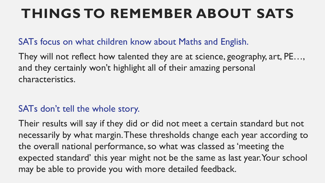# **THINGS TO REMEMBER ABOUT SATS**

### SATs focus on what children know about Maths and English.

They will not reflect how talented they are at science, geography, art, PE…, and they certainly won't highlight all of their amazing personal characteristics.

### SATs don't tell the whole story.

Their results will say if they did or did not meet a certain standard but not necessarily by what margin. These thresholds change each year according to the overall national performance, so what was classed as 'meeting the expected standard' this year might not be the same as last year. Your school may be able to provide you with more detailed feedback.